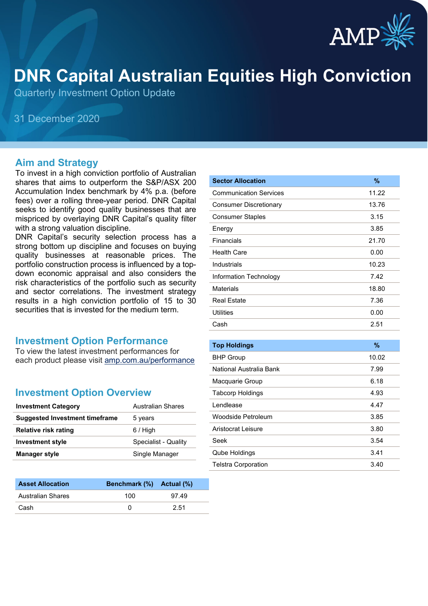

# **DNR Capital Australian Equities High Conviction**

Quarterly Investment Option Update

31 December 2020

#### **Aim and Strategy**

To invest in a high conviction portfolio of Australian shares that aims to outperform the S&P/ASX 200 Accumulation Index benchmark by 4% p.a. (before fees) over a rolling three-year period. DNR Capital seeks to identify good quality businesses that are mispriced by overlaying DNR Capital's quality filter with a strong valuation discipline.

DNR Capital's security selection process has a strong bottom up discipline and focuses on buying quality businesses at reasonable prices. The portfolio construction process is influenced by a topdown economic appraisal and also considers the risk characteristics of the portfolio such as security and sector correlations. The investment strategy results in a high conviction portfolio of 15 to 30 securities that is invested for the medium term.

#### **Investment Option Performance**

To view the latest investment performances for each product please visit [amp.com.au/performance](https://www.amp.com.au/performance)

#### **Investment Option Overview**

| <b>Investment Category</b>     | <b>Australian Shares</b> |
|--------------------------------|--------------------------|
| Suggested Investment timeframe | 5 years                  |
| <b>Relative risk rating</b>    | $6/$ High                |
| <b>Investment style</b>        | Specialist - Quality     |
| <b>Manager style</b>           | Single Manager           |
|                                |                          |

| <b>Asset Allocation</b>  | Benchmark (%) Actual (%) |       |
|--------------------------|--------------------------|-------|
| <b>Australian Shares</b> | 100                      | 97.49 |
| Cash                     |                          | 2.51  |

| <b>Sector Allocation</b>      | $\%$  |
|-------------------------------|-------|
| <b>Communication Services</b> | 11.22 |
| <b>Consumer Discretionary</b> | 13.76 |
| <b>Consumer Staples</b>       | 3.15  |
| Energy                        | 3.85  |
| Financials                    | 21.70 |
| Health Care                   | 0.00  |
| Industrials                   | 10.23 |
| Information Technology        | 7.42  |
| Materials                     | 18.80 |
| <b>Real Estate</b>            | 7.36  |
| <b>Utilities</b>              | 0.00  |
| Cash                          | 2.51  |

| <b>Top Holdings</b>        | $\%$  |
|----------------------------|-------|
| <b>BHP Group</b>           | 10.02 |
| National Australia Bank    | 7.99  |
| Macquarie Group            | 6.18  |
| <b>Tabcorp Holdings</b>    | 4.93  |
| I endlease                 | 4.47  |
| Woodside Petroleum         | 3.85  |
| Aristocrat Leisure         | 3.80  |
| Seek                       | 3.54  |
| <b>Qube Holdings</b>       | 3.41  |
| <b>Telstra Corporation</b> | 3.40  |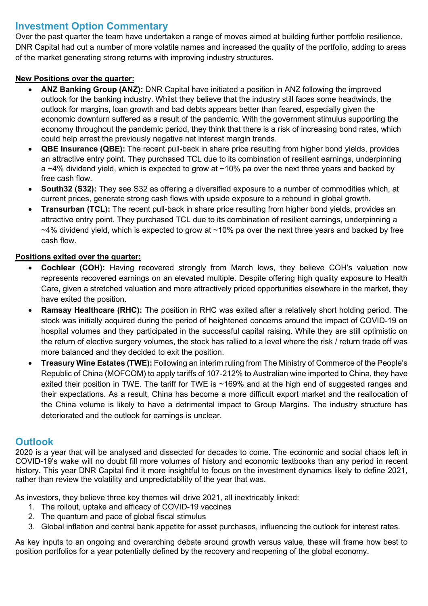## **Investment Option Commentary**

Over the past quarter the team have undertaken a range of moves aimed at building further portfolio resilience. DNR Capital had cut a number of more volatile names and increased the quality of the portfolio, adding to areas of the market generating strong returns with improving industry structures.

#### **New Positions over the quarter:**

- **ANZ Banking Group (ANZ):** DNR Capital have initiated a position in ANZ following the improved outlook for the banking industry. Whilst they believe that the industry still faces some headwinds, the outlook for margins, loan growth and bad debts appears better than feared, especially given the economic downturn suffered as a result of the pandemic. With the government stimulus supporting the economy throughout the pandemic period, they think that there is a risk of increasing bond rates, which could help arrest the previously negative net interest margin trends.
- **QBE Insurance (QBE):** The recent pull-back in share price resulting from higher bond yields, provides an attractive entry point. They purchased TCL due to its combination of resilient earnings, underpinning a  $~4\%$  dividend yield, which is expected to grow at  $~10\%$  pa over the next three years and backed by free cash flow.
- **South32 (S32):** They see S32 as offering a diversified exposure to a number of commodities which, at current prices, generate strong cash flows with upside exposure to a rebound in global growth.
- **Transurban (TCL):** The recent pull-back in share price resulting from higher bond yields, provides an attractive entry point. They purchased TCL due to its combination of resilient earnings, underpinning a  $~14\%$  dividend yield, which is expected to grow at  $~10\%$  pa over the next three years and backed by free cash flow.

### **Positions exited over the quarter:**

- **Cochlear (COH):** Having recovered strongly from March lows, they believe COH's valuation now represents recovered earnings on an elevated multiple. Despite offering high quality exposure to Health Care, given a stretched valuation and more attractively priced opportunities elsewhere in the market, they have exited the position.
- **Ramsay Healthcare (RHC):** The position in RHC was exited after a relatively short holding period. The stock was initially acquired during the period of heightened concerns around the impact of COVID-19 on hospital volumes and they participated in the successful capital raising. While they are still optimistic on the return of elective surgery volumes, the stock has rallied to a level where the risk / return trade off was more balanced and they decided to exit the position.
- **Treasury Wine Estates (TWE):** Following an interim ruling from The Ministry of Commerce of the People's Republic of China (MOFCOM) to apply tariffs of 107-212% to Australian wine imported to China, they have exited their position in TWE. The tariff for TWE is ~169% and at the high end of suggested ranges and their expectations. As a result, China has become a more difficult export market and the reallocation of the China volume is likely to have a detrimental impact to Group Margins. The industry structure has deteriorated and the outlook for earnings is unclear.

## **Outlook**

2020 is a year that will be analysed and dissected for decades to come. The economic and social chaos left in COVID-19's wake will no doubt fill more volumes of history and economic textbooks than any period in recent history. This year DNR Capital find it more insightful to focus on the investment dynamics likely to define 2021, rather than review the volatility and unpredictability of the year that was.

As investors, they believe three key themes will drive 2021, all inextricably linked:

- 1. The rollout, uptake and efficacy of COVID-19 vaccines
- 2. The quantum and pace of global fiscal stimulus
- 3. Global inflation and central bank appetite for asset purchases, influencing the outlook for interest rates.

As key inputs to an ongoing and overarching debate around growth versus value, these will frame how best to position portfolios for a year potentially defined by the recovery and reopening of the global economy.